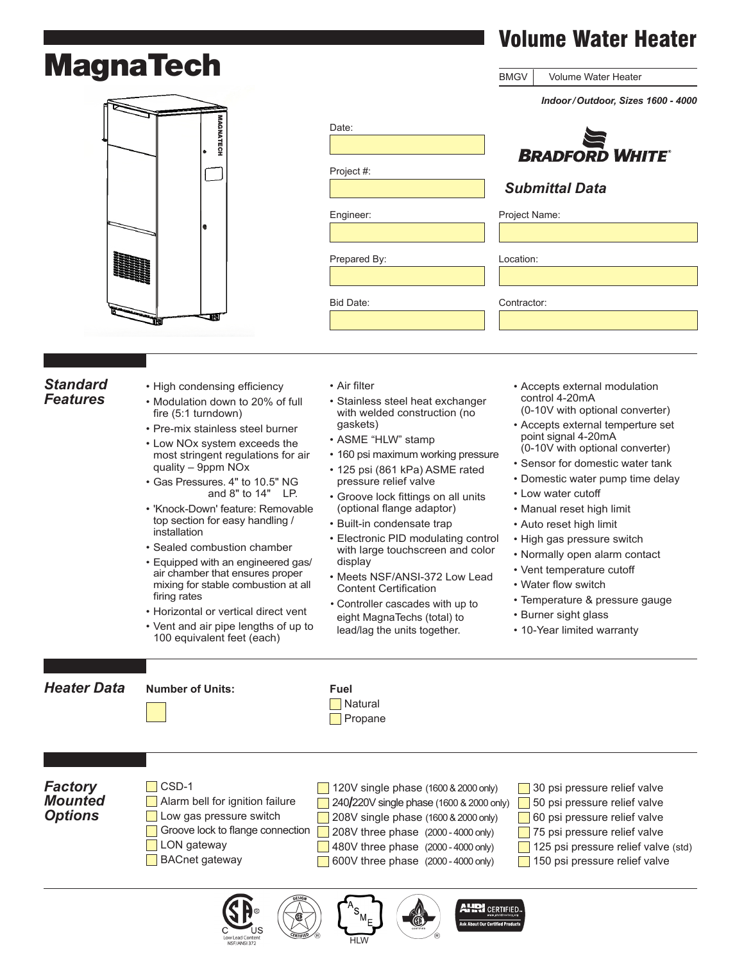# **MagnaTech**



|              | Indoor/Outdoor, Sizes 1600 - 4000 |
|--------------|-----------------------------------|
| Date:        |                                   |
|              | <b>BRADFORD WHITE</b>             |
| Project #:   |                                   |
|              | <b>Submittal Data</b>             |
| Engineer:    | Project Name:                     |
| Prepared By: | Location:                         |
| Bid Date:    | Contractor:                       |
|              |                                   |

BMGV

#### *Standard Features*

- • High condensing efficiency • Modulation down to 20% of full fire (5:1 turndown) • Pre-mix stainless steel burner • Low NOx system exceeds the most stringent regulations for air quality – 9ppm NOx • Gas Pressures. 4" to 10.5" NG and  $8"$  to  $14"$  LP. • 'Knock-Down' feature: Removable top section for easy handling / installation • Sealed combustion chamber • Equipped with an engineered gas/ air chamber that ensures proper mixing for stable combustion at all firing rates • Horizontal or vertical direct vent • Air filter gaskets) display
- • Vent and air pipe lengths of up to 100 equivalent feet (each)
- • Stainless steel heat exchanger with welded construction (no
- • ASME "HLW" stamp
- 160 psi maximum working pressure • 125 psi (861 kPa) ASME rated
- pressure relief valve
- • Groove lock fittings on all units (optional flange adaptor)
- • Built-in condensate trap
- Electronic PID modulating control with large touchscreen and color
- • Meets NSF/ANSI-372 Low Lead Content Certification
- • Controller cascades with up to • Controller cascades with up to<br>eight MagnaTechs (total) to lead/lag the units together.
- • Accepts external modulation control 4-20mA (0-10V with optional converter)
- • Accepts external temperture set point signal 4-20mA (0-10V with optional converter)
- • Sensor for domestic water tank
- • Domestic water pump time delay
- • Low water cutoff
- • Manual reset high limit
- 
- • Auto reset high limit
- • High gas pressure switch
- • Normally open alarm contact
- • Vent temperature cutoff
- • Water flow switch
- • Temperature & pressure gauge
- • Burner sight glass
- 10-Year limited warranty



HLW

**About Our Certified P** 

Volume Water Heater

Volume Water Heater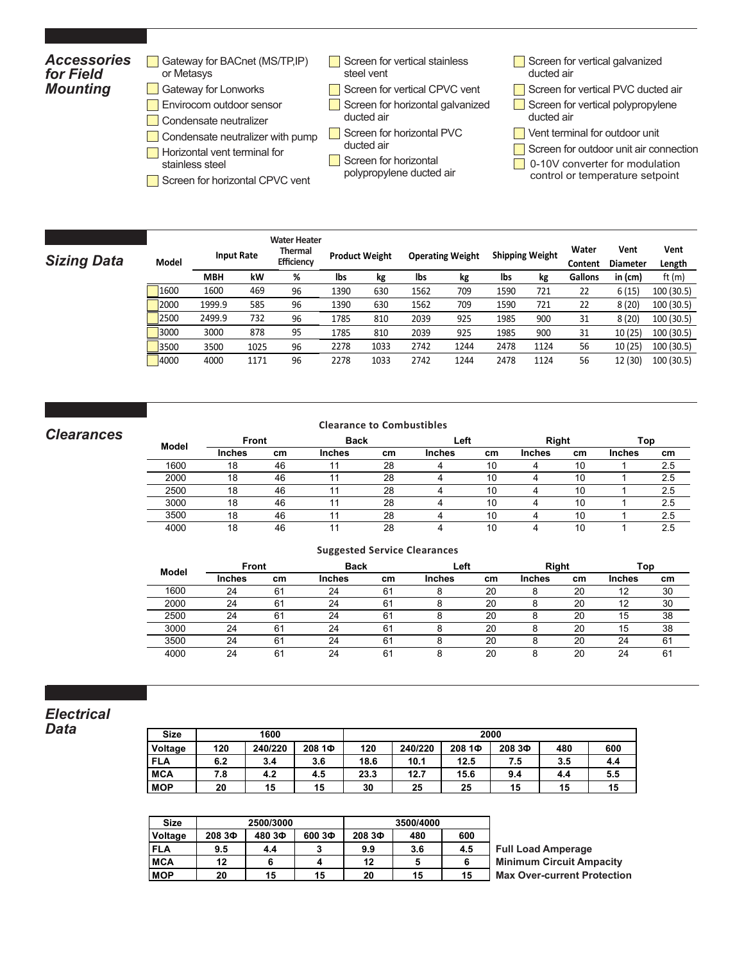#### *Accessories for Field Mounting* **Dimensional Data Sizing Data**  $\Box$  Condensate neutralizer with pump  $\Box$  Screen for horizontal PVC  $\Box$  Vent terminal for outdoor unit **Example**<br>Primary <sub>Preduction and allowing and the Screen for horizontal PVC and the Vent terminal for outdoor unit and the shipping Weight Rate and the shipping weight weight a shipping **D**</sub> **Efficiency Inches cm Inches cm Inches cm Inches cm (NPT) (NPT) MBH kW MBH kW % % lbs kg lbs kg lbs kg Gallons in (cm)** ft (m) 2000 29.3 75 77 196 38.0 97 57.0 145 2.5 1.5 1600 1600 469 1520 445 95.0 96.0 1390 630 1562 709 1590 721 22 6 (15) 100 (30.5) **Modell Contract Dimensional Data Sizing Data Boiler Combustion Screen for horizontal PVC**<br>ducted air **Inches cm Inches cm Inches cm Inches cm (NPT) (NPT) MBH kW MBH kW % % lbs kg lbs kg lbs kg Gallons in (cm)** ft (m)  $\overline{\text{Sian}}$   $\overline{\text{Sian}}$   $\overline{\text{Sian}}$   $\overline{\text{Sian}}$   $\overline{\text{Sian}}$   $\overline{\text{Sian}}$   $\overline{\text{Sian}}$   $\overline{\text{Sian}}$   $\overline{\text{Sian}}$   $\overline{\text{Sian}}$   $\overline{\text{Sian}}$   $\overline{\text{Sian}}$   $\overline{\text{Sian}}$   $\overline{\text{Sian}}$   $\overline{\text{Sian}}$   $\overline{\text{Sian}}$   $\overline{\text{Sian}}$   $\overline{\text{Sian}}$   $\overline{\$ Gateway for BACnet (MS/TP, IP) or Metasys Gateway for Lonworks **Envirocom outdoor sensor** Condensate neutralizer **Horizontal vent terminal for** stainless steel Screen for vertical stainless steel vent Screen for vertical CPVC vent Screen for horizontal galvanized ducted air ducted air Screen for horizontal Screen for vertical galvanized ducted air Screen for vertical PVC ducted air Screen for vertical polypropylene ducted air Screen for outdoor unit air connection

- $\Box$  Screen for horizontal CPVC vent  $\Box$  is the second  $\Box$  and  $\Box$  and  $\Box$  and  $\Box$  is the sequence of the sequence of the sequence of the sequence of the sequence of the sequence of the sequence of the sequence of th  $\Box$  Screen for horizontal CPVC vent
- polypropylene ducted air
- **0-10V** converter for modulation
	- control or temperature setpoint

|               |            |                   | <b>Water Heater</b>  |     |      |                         |                 |      |         |                          |                    |
|---------------|------------|-------------------|----------------------|-----|------|-------------------------|-----------------|------|---------|--------------------------|--------------------|
| <b>Model</b>  |            | <b>Input Rate</b> | Thermal<br>Efficienc |     |      | <b>Operating Weight</b> | Shipping Weight |      | Vater   | Vent<br>Content Diameter | Vent<br>Length     |
|               | <b>MBH</b> |                   |                      |     |      |                         |                 |      | Gallons | in (cm)                  |                    |
| $\sqrt{1600}$ |            | 40.               |                      |     | 1562 |                         |                 |      |         | 6 (15)                   |                    |
| 2000          | 1999.9     | 585               |                      | 63C |      |                         |                 |      |         |                          | 100 (30.5)         |
| 250           | 2499       |                   |                      |     |      |                         |                 |      |         | 8 (20)                   | 100 (30.5)         |
| 3000          | 3000       |                   |                      |     | 2039 |                         |                 | 900  |         |                          | 10 (25) 100 (30.5) |
| 1350c         |            | ⊥∪∠               | 96                   |     |      | 1244                    | 2478.           | 1124 |         | 10(25)                   | 100 (30.5)         |
| 4000          | 4000       |                   |                      |     |      | LZ44                    | 2478            | 1124 | 56      |                          | 12 (30) 100 (30.5) |

#### $C$ *learances*  $160$  $1600000$

Clearances

Clearances

Electrical Data

Electrical Data

**MBHkW MBH kW %**

1600 1600 469 96

<u> 1989 - Andrea Stadt Britain, marwolaethau a chwaraeth a chwaraeth a chwaraeth a chwaraeth a chwaraeth a chwar</u> **GPM Feet GPM Feet GPM Feet GPM Feet LPM m LPM m LPM m LPM m**

**Flow Head Loss Flow Head Loss Flow Head Loss Flow Head Loss Flow Head Loss Flow Head Loss Flow Head LossFlow Head Loss GPM Feet GPM Feet GPM Feet GPM Feet LPM m LPM m LPM m LPM m**

### **Clearance to Combustibiles Clearance to Combustibiles Clearance to Combustibles**

| <b>Cital dilluts</b> |                                                                                  |               |               |    | י י         |    |             |                |               |           |
|----------------------|----------------------------------------------------------------------------------|---------------|---------------|----|-------------|----|-------------|----------------|---------------|-----------|
|                      |                                                                                  | .cr           | <b>Inches</b> | cm | Inches      | cm | Inches      | cm             | <b>Inches</b> | cm        |
|                      |                                                                                  | $\sim$        |               |    |             |    |             | $\overline{ }$ |               |           |
|                      |                                                                                  |               |               |    |             |    |             |                |               |           |
|                      |                                                                                  |               |               |    |             |    |             |                |               |           |
|                      |                                                                                  |               |               |    |             |    |             |                |               |           |
|                      |                                                                                  |               |               |    |             |    |             |                |               | <u>.</u>  |
|                      |                                                                                  |               |               |    |             |    |             |                |               |           |
|                      | <b>Model</b><br>1600<br>000c<br>ZUUU<br>2500<br>$\cdots$<br>ovv.<br>3500<br>4000 | <b>Inches</b> | Front         |    | <b>Back</b> |    | <b>Leit</b> |                | sıqın         | т.<br>ισι |

#### Service Clearances Service Clearances **Suggested Service Clearances**

| Model | Front         |                | <b>Back</b>   |    | ∟eft   |    | Right  |    | Top    |    |
|-------|---------------|----------------|---------------|----|--------|----|--------|----|--------|----|
|       | <b>Inches</b> | cm             | <b>Inches</b> | cm | Inches | cm | Inches | cm | Inches | cm |
| 1600  | 24            | 61             | 24            | 61 |        | 20 |        | 20 | 12     | 30 |
| 2000  | 24            | 61             | 24            | 61 |        | 20 |        | 20 | 12     | 30 |
| 2500  | 24            | 6٬             | 24            | 61 |        | 20 |        | 20 | 15     | 38 |
| 3000  | 24            | 6 <sup>1</sup> | 24            | 61 |        | 20 |        | 20 | 15     | 38 |
| 3500  | 24            | 61             | 24            | 61 |        | 20 |        | 20 | 24     | 61 |
| 4000  | 24            | 61             | 24            | 61 |        | 20 |        | 20 | 24     | 61 |

#### *Electrical Data*

| <b>Size</b> |     | 1600    |        |      |         |        | 2000   |     |     |
|-------------|-----|---------|--------|------|---------|--------|--------|-----|-----|
| Voltage     | 120 | 240/220 | 208 1Ф | 120  | 240/220 | 208 1Ф | 208 ЗФ | 480 | 600 |
| <b>FLA</b>  | 6.2 | 3.4     | 3.6    | 18.6 | 10.1    | 12.5   | 7.5    | 3.5 | 4.4 |
| <b>MCA</b>  | 7.8 | 4.2     | 4.5    | 23.3 | 12.7    | 15.6   | 9.4    | 4.4 | 5.5 |
| <b>MOP</b>  | 20  | 15      | 15     | 30   | 25      | 25     | 15     | 15  | 15  |
|             |     |         |        |      |         |        |        |     |     |

| Size           |        | 2500/3000 |        |        | 3500/4000 |     |                                    |
|----------------|--------|-----------|--------|--------|-----------|-----|------------------------------------|
| <b>Voltage</b> | 208 ЗФ | 480 ЗФ    | 600 ЗФ | 208 ЗФ | 480       | 600 |                                    |
| <b>FLA</b>     | 9.5    | 4.4       |        | 9.9    | 3.6       | 4.5 | <b>Full Load Amperage</b>          |
| <b>MCA</b>     | 12     |           |        | 12     |           |     | <b>Minimum Circuit Ampacity</b>    |
| <b>MOP</b>     | 20     | 15        | 15     | 20     | 15        | 15  | <b>Max Over-current Protection</b> |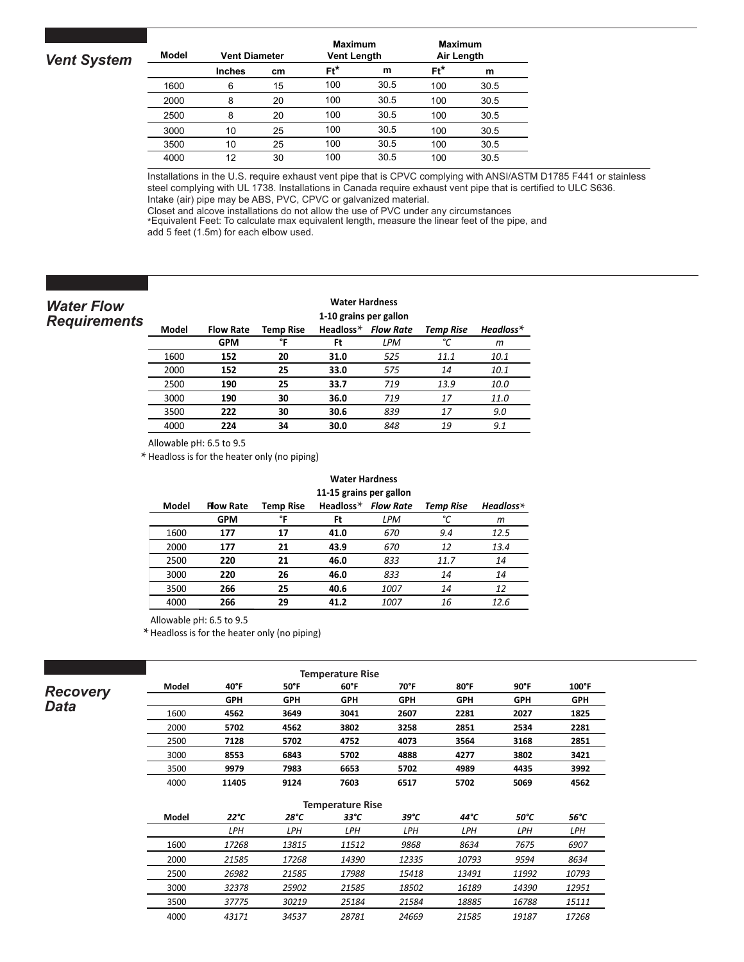| <b>Vent System</b> | <b>Model</b> | <b>Vent Diameter</b> |    | <b>Maximum</b><br><b>Vent Length</b> |      | <b>Maximum</b><br>Air Length |      |
|--------------------|--------------|----------------------|----|--------------------------------------|------|------------------------------|------|
|                    |              | <b>Inches</b>        | cm | $Ft^*$                               | m    | $Ft^*$                       | m    |
|                    | 1600         | 6                    | 15 | 100                                  | 30.5 | 100                          | 30.5 |
|                    | 2000         | 8                    | 20 | 100                                  | 30.5 | 100                          | 30.5 |
|                    | 2500         | 8                    | 20 | 100                                  | 30.5 | 100                          | 30.5 |
|                    | 3000         | 10                   | 25 | 100                                  | 30.5 | 100                          | 30.5 |
|                    | 3500         | 10                   | 25 | 100                                  | 30.5 | 100                          | 30.5 |
|                    | 4000         | 12                   | 30 | 100                                  | 30.5 | 100                          | 30.5 |
|                    |              |                      |    |                                      |      |                              |      |

3500 152 575 30 89.7

Installations in the U.S. require exhaust vent pipe that is CPVC complying with ANSI/ASTM D1785 F441 or stainless steel complying with UL 1738. Installations in Canada require exhaust vent pipe that is certified to ULC S636. Intake (air) pipe may be ABS, PVC, CPVC or galvanized material.

Closet and alcove installations do not allow the use of PVC under any circumstances<br>\*Equivalent Feet: To calculate max equivalent length, measure the linear feet of the pipe, and

Equivalent **Post.** To distance that equivalent length, mediately fixed and **5** feet (1.5m) for each elbow used.

#### *Water Flow Requirements*

#### **3500 304 1151 32 95.6 2014 33 95.6 2014 33 95.6 2014 33 95.6 2014 33 95.6 2014 33 95.6 2015 33 95.6 2015 33 95.6 2015 33 95.6 2015 33 95.6 2015 33 96.6 2015 33 96.6 2015 34.6 2015 34.6 2015 34.6 2015 34.6 2015 34.6 2015 3**

|       |                  |                  | 1-10 grains per gallon |                  |                  |             |
|-------|------------------|------------------|------------------------|------------------|------------------|-------------|
| Model | <b>Flow Rate</b> | <b>Temp Rise</b> | Headloss $*$           | <b>Flow Rate</b> | <b>Temp Rise</b> | $Headloss*$ |
|       | <b>GPM</b>       | ۰c               | Ft                     | LPM              | ∘∕               | m           |
| 1600  | 152              | 20               | 31.0                   | 525              | 11.1             | 10.1        |
| 2000  | 152              | 25               | 33.0                   | 575              | 14               | 10.1        |
| 2500  | 190              | 25               | 33.7                   | 719              | 13.9             | 10.0        |
| 3000  | 190              | 30               | 36.0                   | 719              | 17               | 11.0        |
| 3500  | 222              | 30               | 30.6                   | 839              | 17               | 9.0         |
| 4000  | 224              | 34               | 30.0                   | 848              | 19               | 9.1         |

Allowable pH: 6.5 to  $9.5$ 

Headloss is for the heater only (no piping) **\***

#### **Water Hardness Water Hardness**

|       |                  |           |      | 11-15 grains per gallon |                                  |                 |
|-------|------------------|-----------|------|-------------------------|----------------------------------|-----------------|
| Model | <b>Flow Rate</b> | Temp Rise |      |                         | Headloss $*$ Flow Rate Temp Rise | Headloss $\ast$ |
|       | <b>GPM</b>       |           | Ft   | LPM                     |                                  |                 |
| 1600  | 177              | 17        | 41.0 | 670                     | 9.4                              | 12.5            |
| 2000  | 177              | 21        | 43.9 | 670                     | 12                               | 13.4            |
| 2500  | 220              | 21        | 46.0 | 833                     | 11.7                             |                 |
| 3000  | 220              | 26        | 46.0 | 833                     | 14                               |                 |
| 3500  | 266              | 25        | 40.6 | 1007                    |                                  |                 |
| 400C  | 266              | 29        | 41.2 | 1007                    | 16                               | 12.6            |

2000 177 2000 177 2000 177 2000 177 2000 177 2000 177 2000 178

**Model Flow Rate Temp Rise Headloss\* Flow Rate Temp Rise Headloss\*** Allowable pH: 6.5 to 9.5

 $\overline{a}$ J.

 $*$  **Headloss is for the heater only (no piping)** 

| <b>Data</b> | Recovery |
|-------------|----------|
|-------------|----------|

2000 177 21 43.9 <del>670 178.9 (177 217 217 217 217 217 217 217 217</del> 2500 220 26 46.0 833 14 7.9

## **Temperature Rise**

| Model | $40^{\circ}$ F | $50^{\circ}$ F | $60^{\circ}$ F | 70°F       | 80°F       | $90^\circ$ F | 100°F      |
|-------|----------------|----------------|----------------|------------|------------|--------------|------------|
|       | <b>GPH</b>     | <b>GPH</b>     | <b>GPH</b>     | <b>GPH</b> | <b>GPH</b> | <b>GPH</b>   | <b>GPH</b> |
| 1600  | 4562           | 3649           | 3041           | 2607       | 2281       | 2027         | 1825       |
| 2000  | 5702           | 4562           | 3802           | 3258       | 2851       | 2534         | 2281       |
| 2500  | 7128           | 5702           | 4752           | 4073       | 3564       | 3168         | 2851       |
| 3000  | 8553           | 6843           | 5702           | 4888       | 4277       | 3802         | 3421       |
| 3500  | 9979           | 7983           | 6653           | 5702       | 4989       | 4435         | 3992       |
| 4000  | 11405          | 9124           | 7603           | 6517       | 5702       | 5069         | 4562       |

|       |       |       | <b>Temperature Rise</b> |       |       |       |               |
|-------|-------|-------|-------------------------|-------|-------|-------|---------------|
| Model | 22°C  | 28°C  | 33°C                    | 39°C  | 44°C  | 50°C  | $56^{\circ}C$ |
|       |       | LPH   | LPH                     | LPH   | LPH   | LPH   | LPH           |
| 1600  | 17268 | 13815 | 11512                   | 9868  | 8634  | 7675  | 6907          |
| 2000  | 21585 | 17268 | 14390                   | 12335 | 10793 | 9594  | 8634          |
| 2500  | 26982 | 21585 | 17988                   | 15418 | 13491 | 11992 | 10793         |
| 300C  | 32378 | 25902 | 21585                   | 18502 | 16189 | 14390 | 12951         |
| 3500  | 37775 | 30219 | 25184                   | 21584 | 18885 | 16788 | 15111         |
| 4000  | 43171 | 34537 | 28781                   | 24669 | 21585 | 19187 | 17268         |